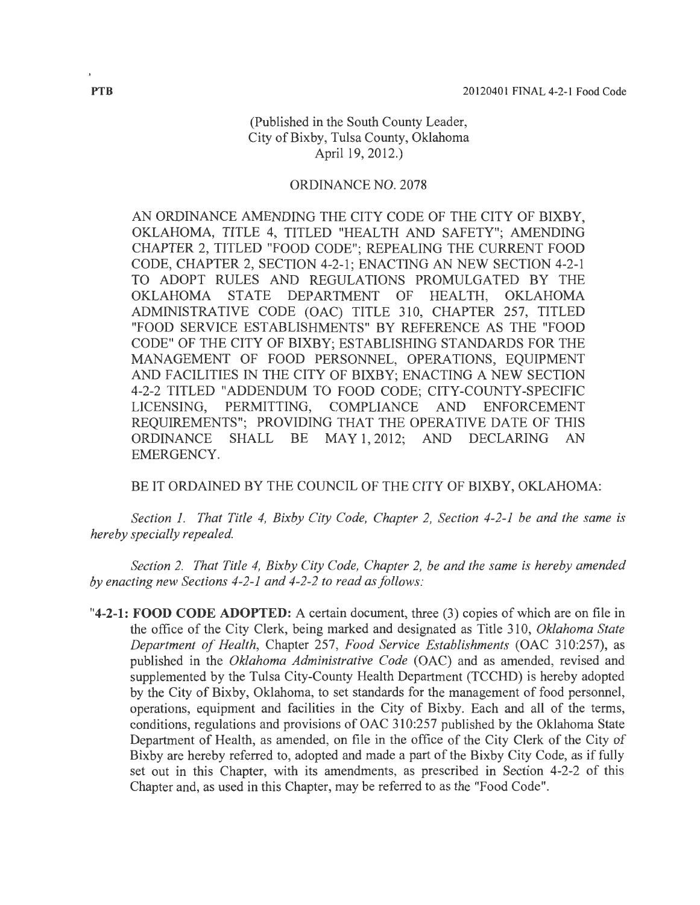### (Published in the South County Leader, City of Bixby, Tulsa County, Oklahoma April 19, 2012.)

#### ORDINANCE NO. 2078

AN ORDINANCE AMENDING THE CITY CODE OF THE CITY OF BIXBY, OKLAHOMA, TITLE 4, TITLED "HEALTH AND SAFETY"; AMENDING CHAPTER 2, TITLED "FOOD CODE"; REPEALING THE CURRENT FOOD CODE, CHAPTER 2, SECTION 4-2-1; ENACTING AN NEW SECTION 4-2-1 TO ADOPT RULES AND REGULATIONS PROMULGATED BY THE OKLAHOMA STATE DEPARTMENT OF HEALTH, OKLAHOMA ADMINISTRATIVE CODE (OAC) TITLE 310, CHAPTER 257, TITLED "FOOD SERVICE ESTABLISHMENTS" BY REFERENCE AS THE "FOOD CODE" OF THE CITY OF BIXBY; ESTABLISHING STANDARDS FOR THE MANAGEMENT OF FOOD PERSONNEL, OPERATIONS, EQUIPMENT AND FACILITIES IN THE CITY OF BIXBY; ENACTING A NEW SECTION 4-2-2 TITLED "ADDENDUM TO FOOD CODE; CITY-COUNTY-SPECIFIC LICENSING, PERMITTING, COMPLIANCE AND ENFORCEMENT REQUIREMENTS"; PROVIDING THAT THE OPERATIVE DATE OF THIS ORDINANCE SHALL BE MAY 1, 2012; AND DECLARING AN EMERGENCY.

BE IT ORDAINED BY THE COUNCIL OF THE CITY OF BIXBY, OKLAHOMA:

*Section 1. That Title 4, Bixby City Code, Chapter 2, Section 4-2-1 be and the same is hereby specially repealed.* 

*Section 2. That Title 4, Bixby City Code, Chapter 2, be and the same is hereby amended by enacting new Sections 4-2-1 and 4-2-2 to read as follows:* 

**"4-2-1: FOOD CODE ADOPTED:** A certain document, three (3) copies of which are on file in the office of the City Clerk, being marked and designated as Title 310, *Oklahoma State Department of Health, Chapter 257, Food Service Establishments (OAC 310:257), as* published in the *Oklahoma Administrative Code* (OAC) and as amended, revised and supplemented by the Tulsa City-County Health Department (TCCHD) is hereby adopted by the City of Bixby, Oklahoma, to set standards for the management of food personnel, operations, equipment and facilities in the City of Bixby. Each and all of the terms, conditions, regulations and provisions of OAC 310:257 published by the Oklahoma State Department of Health, as amended, on file in the office of the City Clerk of the City of Bixby are hereby referred to, adopted and made a part of the Bixby City Code, as if fully set out in this Chapter, with its amendments, as prescribed in Section 4-2-2 of this Chapter and, as used in this Chapter, may be referred to as the "Food Code".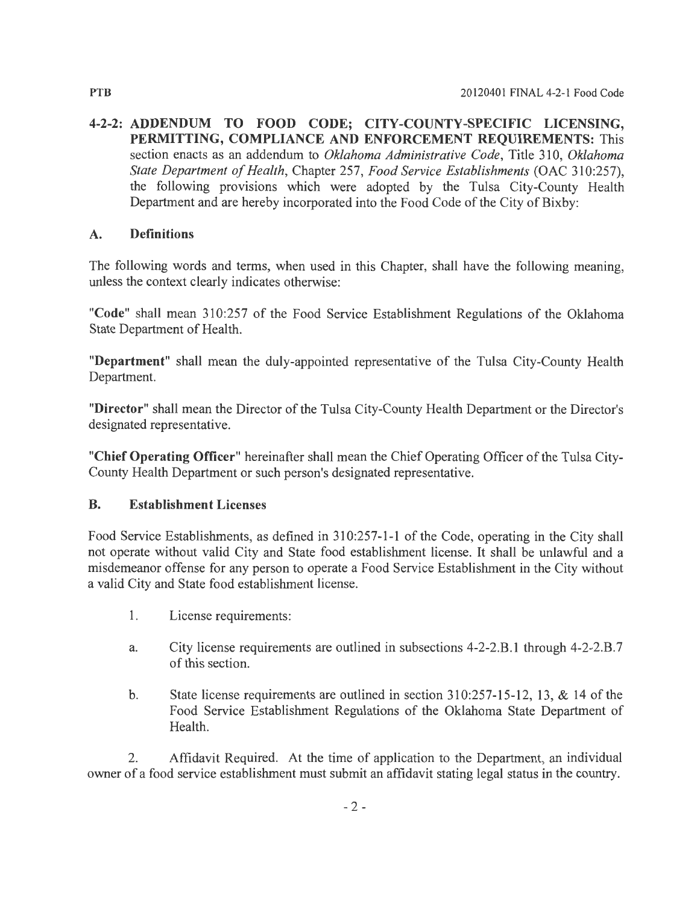**4-2-2: ADDENDUM TO FOOD CODE; CITY -COUNTY -SPECIFIC LICENSING, PERMITTING, COMPLIANCE AND ENFORCEMENT REQUIREMENTS:** This section enacts as an addendum to *Oklahoma Administrative Code,* Title 310, *Oklahoma State Department of Health, Chapter 257, Food Service Establishments (OAC 310:257),* the following provisions which were adopted by the Tulsa City-County Health Department and are hereby incorporated into the Food Code of the City of Bixby:

#### **A. Definitions**

The following words and terms, when used in this Chapter, shall have the following meaning, unless the context clearly indicates otherwise:

**"Code"** shall mean 310:257 of the Food Service Establishment Regulations of the Oklahoma State Department of Health.

**"Department"** shall mean the duly-appointed representative of the Tulsa City-County Health Department.

**"Director"** shall mean the Director of the Tulsa City-County Health Department or the Director's designated representative.

**"Chief Operating Officer"** hereinafter shall mean the Chief Operating Officer of the Tulsa City-County Health Department or such person's designated representative.

### **B. Establishment Licenses**

Food Service Establishments, as defined in 310:257-1-1 of the Code, operating in the City shall not operate without valid City and State food establishment license. It shall be unlawful and a misdemeanor offense for any person to operate a Food Service Establishment in the City without a valid City and State food establishment license.

- 1. License requirements:
- a. City license requirements are outlined in subsections 4-2-2.B.1 through 4-2-2.B.7 of this section.
- b. State license requirements are outlined in section 310:257-15-12, 13, & 14 of the Food Service Establishment Regulations of the Oklahoma State Department of Health.

2. Affidavit Required. At the time of application to the Department, an individual owner of a food service establishment must submit an affidavit stating legal status in the country.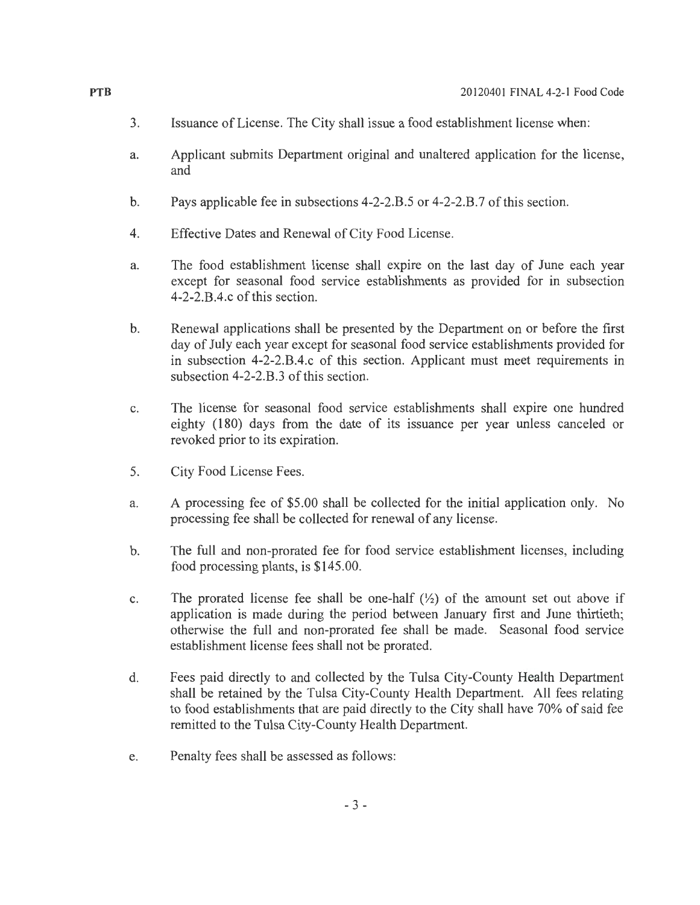- 3. Issuance of License. The City shall issue a food establishment license when:
- a. Applicant submits Department original and unaltered application for the license, and
- b. Pays applicable fee in subsections 4-2-2.8.5 or 4-2-2.8.7 of this section.
- 4. Effective Dates and Renewal of City Food License.
- a. The food establishment license shall expire on the last day of June each year except for seasonal food service establishments as provided for in subsection 4-2-2.8.4.c of this section.
- b. Renewal applications shall be presented by the Department on or before the first day of July each year except for seasonal food service establishments provided for in subsection 4-2-2.8.4.c of this section. Applicant must meet requirements in subsection 4-2-2.8.3 of this section.
- c. The license for seasonal food service establishments shall expire one hundred eighty (180) days from the date of its issuance per year unless canceled or revoked prior to its expiration.
- 5. City Food License Fees.
- a. A processing fee of \$5.00 shall be collected for the initial application only. No processing fee shall be collected for renewal of any license.
- b. The full and non-prorated fee for food service establishment licenses, including food processing plants, is \$145.00.
- c. The prorated license fee shall be one-half  $(\frac{1}{2})$  of the amount set out above if application is made during the period between January first and June thirtieth; otherwise the full and non-prorated fee shall be made. Seasonal food service establishment license fees shall not be prorated.
- d. Fees paid directly to and collected by the Tulsa City-County Health Department shall be retained by the Tulsa City-County Health Department. All fees relating to food establishments that are paid directly to the City shall have 70% of said fee remitted to the Tulsa City-County Health Department.
- e. Penalty fees shall be assessed as follows: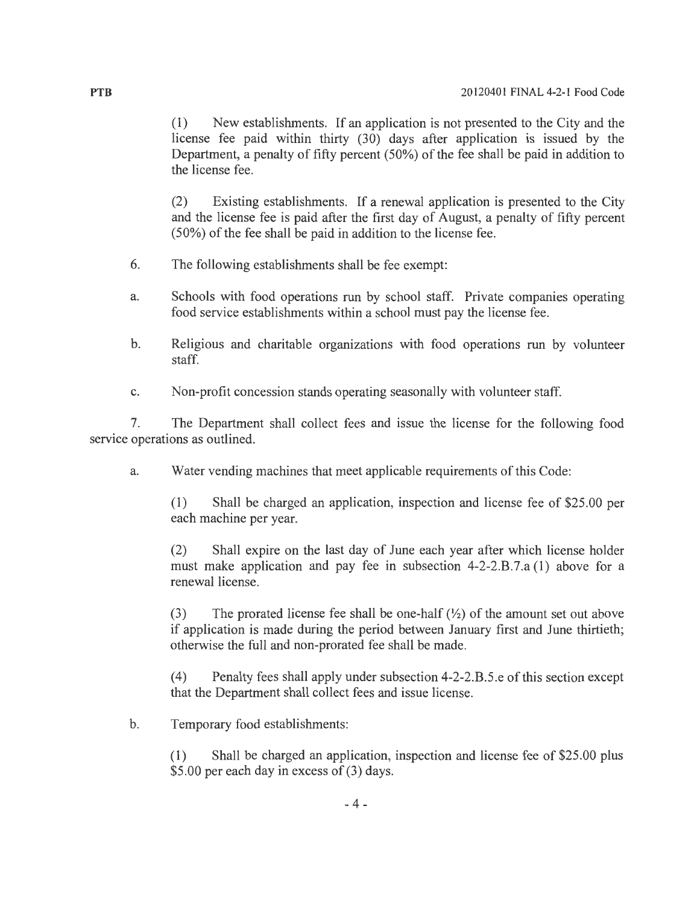(1) New establishments. If an application is not presented to the City and the license fee paid within thirty (30) days after application is issued by the Department, a penalty of fifty percent (50%) of the fee shall be paid in addition to the license fee.

(2) Existing establishments. If a renewal application is presented to the City and the license fee is paid after the first day of August, a penalty of fifty percent (50%) of the fee shall be paid in addition to the license fee.

- 6. The following establishments shall be fee exempt:
- a. Schools with food operations run by school staff. Private companies operating food service establishments within a school must pay the license fee.
- b. Religious and charitable organizations with food operations run by volunteer staff.
- c. Non-profit concession stands operating seasonally with volunteer staff.

7. The Department shall collect fees and issue the license for the following food service operations as outlined.

a. Water vending machines that meet applicable requirements of this Code:

(1) Shall be charged an application, inspection and license fee of \$25.00 per each machine per year.

(2) Shall expire on the last day of June each year after which license holder must make application and pay fee in subsection 4-2-2.B.7.a (1) above for a renewal license.

(3) The prorated license fee shall be one-half  $(\frac{1}{2})$  of the amount set out above if application is made during the period between January first and June thirtieth; otherwise the full and non-prorated fee shall be made.

(4) Penalty fees shall apply under subsection 4-2-2.B.5.e of this section except that the Department shall collect fees and issue license.

b. Temporary food establishments:

(1) Shall be charged an application, inspection and license fee of \$25.00 plus \$5.00 per each day in excess of (3) days.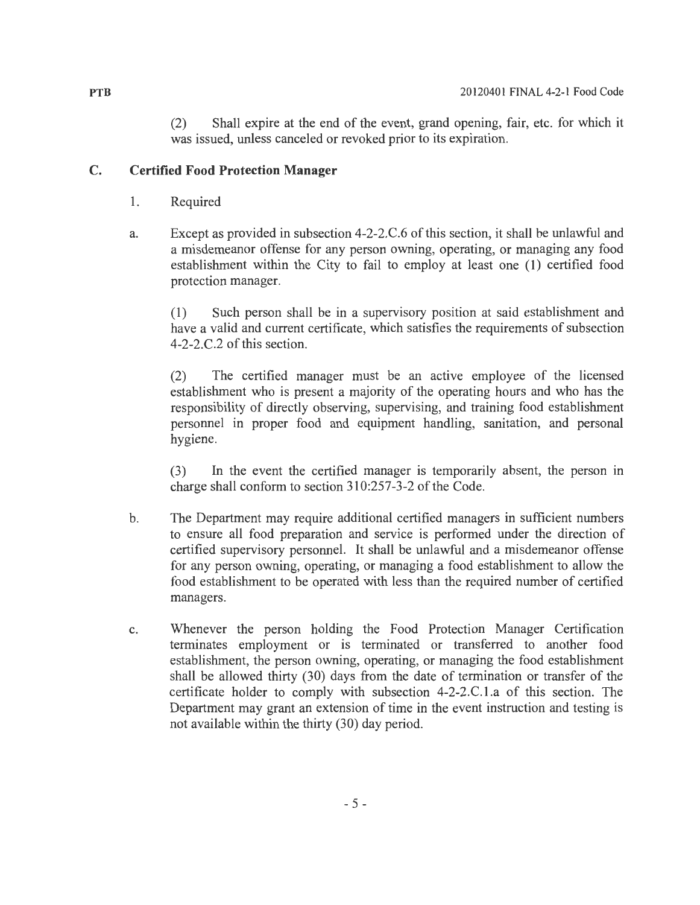(2) Shall expire at the end of the event, grand opening, fair, etc. for which it was issued, unless canceled or revoked prior to its expiration.

## **C. Certified Food Protection Manager**

- 1. Required
- a. Except as provided in subsection 4-2-2.C.6 of this section, it shall be unlawful and a misdemeanor offense for any person owning, operating, or managing any food establishment within the City to fail to employ at least one (1) certified food protection manager.

(1) Such person shall be in a supervisory position at said establishment and have a valid and current certificate, which satisfies the requirements of subsection  $4-2-2$ .C.2 of this section.

(2) The certified manager must be an active employee of the licensed establishment who is present a majority of the operating hours and who has the responsibility of directly observing, supervising, and training food establishment personnel in proper food and equipment handling, sanitation, and personal hygiene.

(3) In the event the certified manager is temporarily absent, the person in charge shall conform to section  $310:257-3-2$  of the Code.

- b. The Department may require additional certified managers in sufficient numbers to ensure all food preparation and service is performed under the direction of certified supervisory personnel. It shall be unlawful and a misdemeanor offense for any person owning, operating, or managing a food establishment to allow the food establishment to be operated with less than the required number of certified managers.
- c. Whenever the person holding the Food Protection Manager Certification terminates employment or is terminated or transferred to another food establishment, the person owning, operating, or managing the food establishment shall be allowed thirty (30) days from the date of termination or transfer of the certificate holder to comply with subsection 4-2-2.C.1.a of this section. The Department may grant an extension of time in the event instruction and testing is not available within the thirty (30) day period.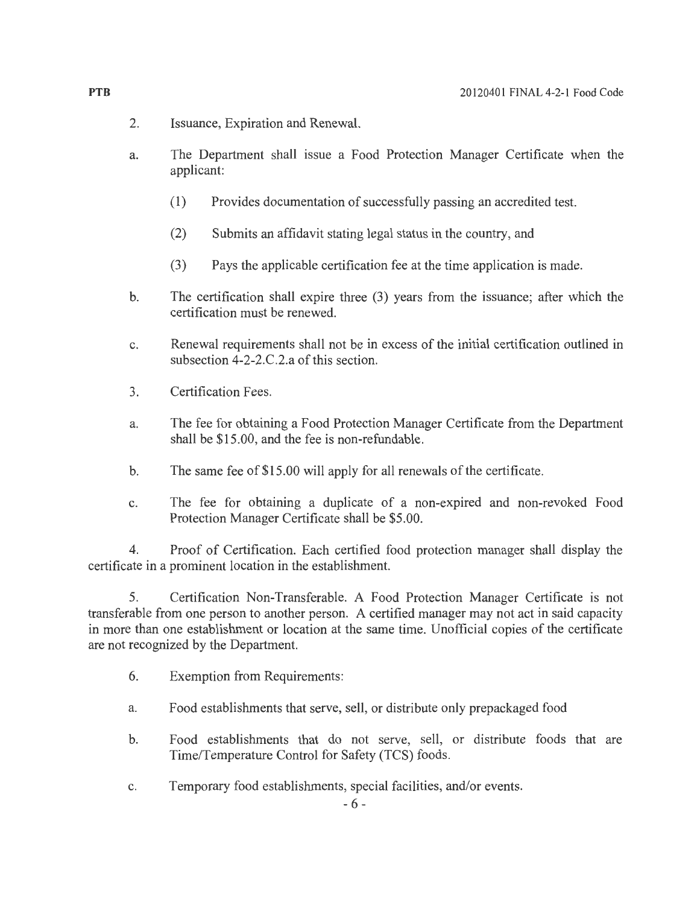- 2. Issuance, Expiration and Renewal.
- a. The Department shall issue a Food Protection Manager Certificate when the applicant:
	- ( 1) Provides documentation of successfully passing an accredited test.
	- (2) Submits an affidavit stating legal status in the country, and
	- (3) Pays the applicable certification fee at the time application is made.
- b. The certification shall expire three (3) years from the issuance; after which the certification must be renewed.
- c. Renewal requirements shall not be in excess of the initial certification outlined in subsection 4-2-2.C.2.a of this section.
- 3. Certification Fees.
- a. The fee for obtaining a Food Protection Manager Certificate from the Department shall be \$15.00, and the fee is non-refundable.
- b. The same fee of  $$15.00$  will apply for all renewals of the certificate.
- c. The fee for obtaining a duplicate of a non-expired and non-revoked Food Protection Manager Certificate shall be \$5.00.

4. Proof of Certification. Each certified food protection manager shall display the certificate in a prominent location in the establishment.

5. Certification Non-Transferable. A Food Protection Manager Certificate is not transferable from one person to another person. A certified manager may not act in said capacity in more than one establishment or location at the same time. Unofficial copies of the certificate are not recognized by the Department.

- 6. Exemption from Requirements:
- a. Food establishments that serve, sell, or distribute only prepackaged food
- b. Food establishments that do not serve, sell, or distribute foods that are Time/Temperature Control for Safety (TCS) foods.
- c. Temporary food establishments, special facilities, and/or events.

**PTB**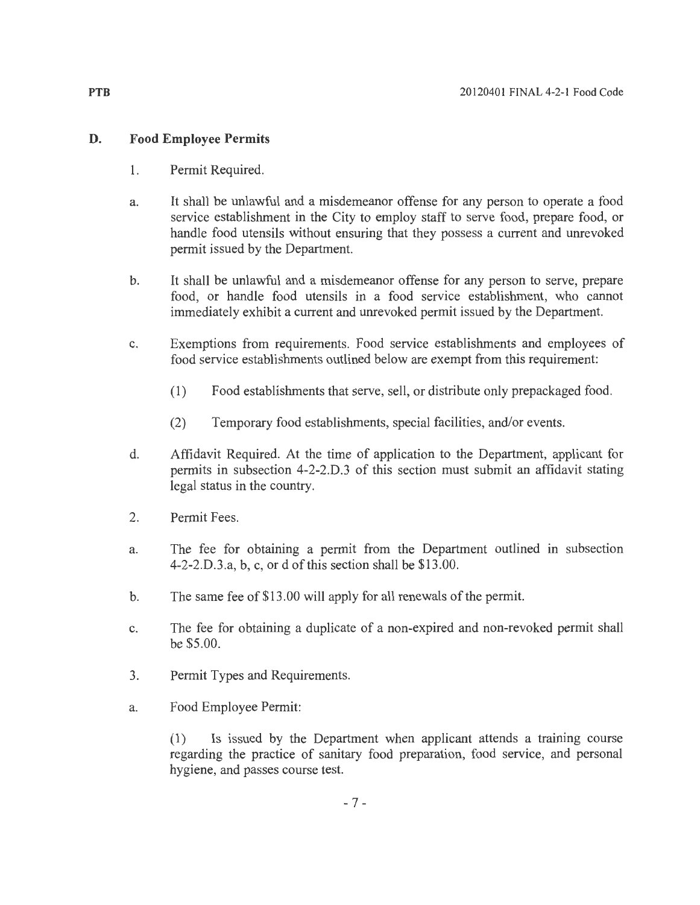## **D. Food Employee Permits**

- 1. Permit Required.
- a. It shall be unlawful and a misdemeanor offense for any person to operate a food service establishment in the City to employ staff to serve food, prepare food, or handle food utensils without ensuring that they possess a current and unrevoked permit issued by the Department.
- b. It shall be unlawful and a misdemeanor offense for any person to serve, prepare food, or handle food utensils in a food service establishment, who cannot immediately exhibit a current and unrevoked permit issued by the Department.
- c. Exemptions from requirements. Food service establishments and employees of food service establishments outlined below are exempt from this requirement:
	- (1) Food establishments that serve, sell, or distribute only prepackaged food.
	- (2) Temporary food establishments, special facilities, and/or events.
- d. Affidavit Required. At the time of application to the Department, applicant for permits in subsection 4-2-2.D.3 of this section must submit an affidavit stating legal status in the country.
- 2. Permit Fees.
- a. The fee for obtaining a permit from the Department outlined in subsection 4-2-2.D.3.a, b, c, or d of this section shall be \$13.00.
- b. The same fee of \$13.00 will apply for all renewals of the permit.
- c. The fee for obtaining a duplicate of a non-expired and non-revoked permit shall be \$5.00.
- 3. Permit Types and Requirements.
- a. Food Employee Permit:

( 1) Is issued by the Department when applicant attends a training course regarding the practice of sanitary food preparation, food service, and personal hygiene, and passes course test.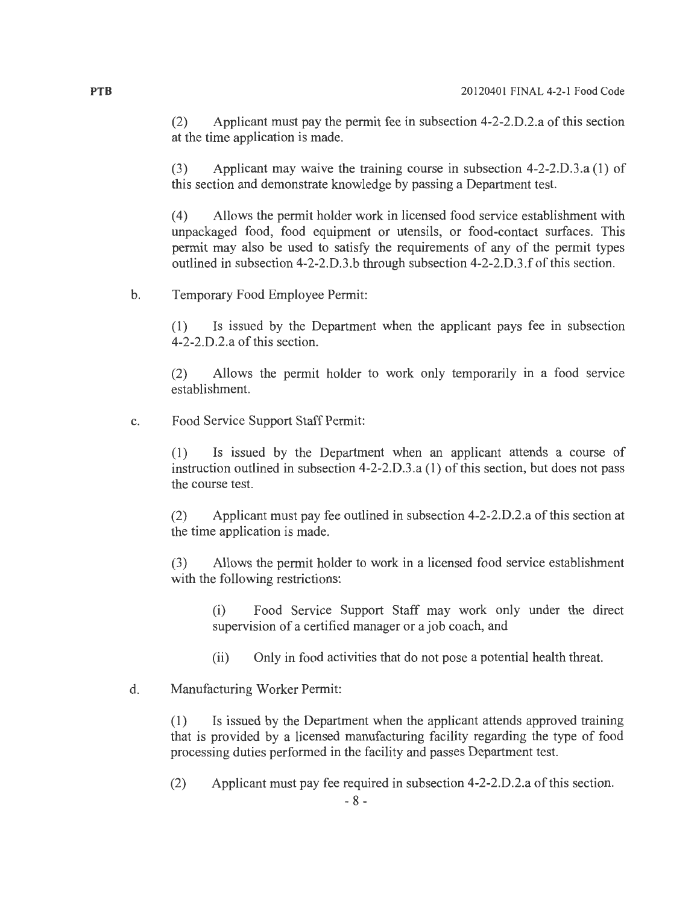(2) Applicant must pay the permit fee in subsection 4-2-2.D.2.a of this section at the time application is made.

(3) Applicant may waive the training course in subsection 4-2-2.D.3.a (1) of this section and demonstrate knowledge by passing a Department test.

(4) Allows the permit holder work in licensed food service establishment with unpackaged food, food equipment or utensils, or food-contact surfaces. This permit may also be used to satisfy the requirements of any of the permit types outlined in subsection 4-2-2.D.3.b through subsection 4-2-2.D.3.f of this section.

b. Temporary Food Employee Permit:

(1) Is issued by the Department when the applicant pays fee in subsection 4-2-2.D.2.a of this section.

(2) Allows the permit holder to work only temporarily in a food service establishment.

c. Food Service Support Staff Permit:

(1) Is issued by the Department when an applicant attends a course of instruction outlined in subsection 4-2-2.D.3.a (1) of this section, but does not pass the course test.

(2) Applicant must pay fee outlined in subsection 4-2-2.D.2.a of this section at the time application is made.

(3) Allows the permit holder to work in a licensed food service establishment with the following restrictions:

(i) Food Service Support Staff may work only under the direct supervision of a certified manager or a job coach, and

(ii) Only in food activities that do not pose a potential health threat.

#### d. Manufacturing Worker Permit:

(1) Is issued by the Department when the applicant attends approved training that is provided by a licensed manufacturing facility regarding the type of food processing duties performed in the facility and passes Department test.

(2) Applicant must pay fee required in subsection 4-2-2.D.2.a of this section.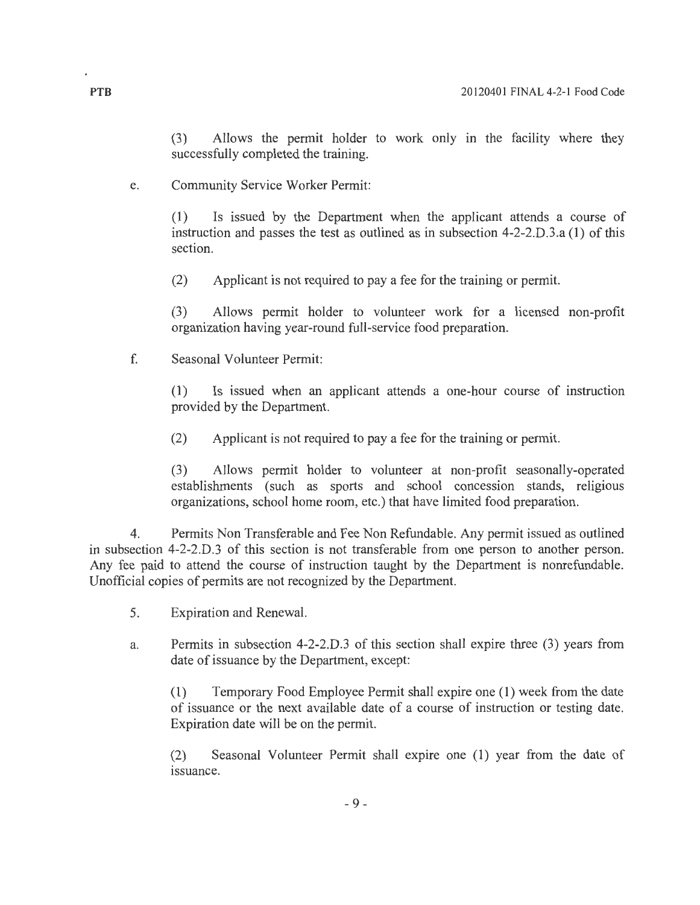(3) Allows the permit holder to work only in the facility where they successfully completed the training.

e. Community Service Worker Permit:

(1) Is issued by the Department when the applicant attends a course of instruction and passes the test as outlined as in subsection 4-2-2.D.3.a (1) of this section.

(2) Applicant is not required to pay a fee for the training or permit.

(3) Allows permit holder to volunteer work for a licensed non-profit organization having year-round full-service food preparation.

f. Seasonal Volunteer Permit:

(1) Is issued when an applicant attends a one-hour course of instruction provided by the Department.

(2) Applicant is not required to pay a fee for the training or permit.

(3) Allows permit holder to volunteer at non-profit seasonally-operated establishments (such as sports and school concession stands, religious organizations, school home room, etc.) that have limited food preparation.

4. Permits Non Transferable and Fee Non Refundable. Any permit issued as outlined in subsection 4-2-2.D.3 of this section is not transferable from one person to another person. Any fee paid to attend the course of instruction taught by the Department is nonrefundable. Unofficial copies of permits are not recognized by the Department.

- 5. Expiration and Renewal.
- a. Permits in subsection 4-2-2.D.3 of this section shall expire three (3) years from date of issuance by the Department, except:

(1) Temporary Food Employee Permit shall expire one (1) week from the date of issuance or the next available date of a course of instruction or testing date. Expiration date will be on the permit.

(2) Seasonal Volunteer Permit shall expire one (1) year from the date of issuance.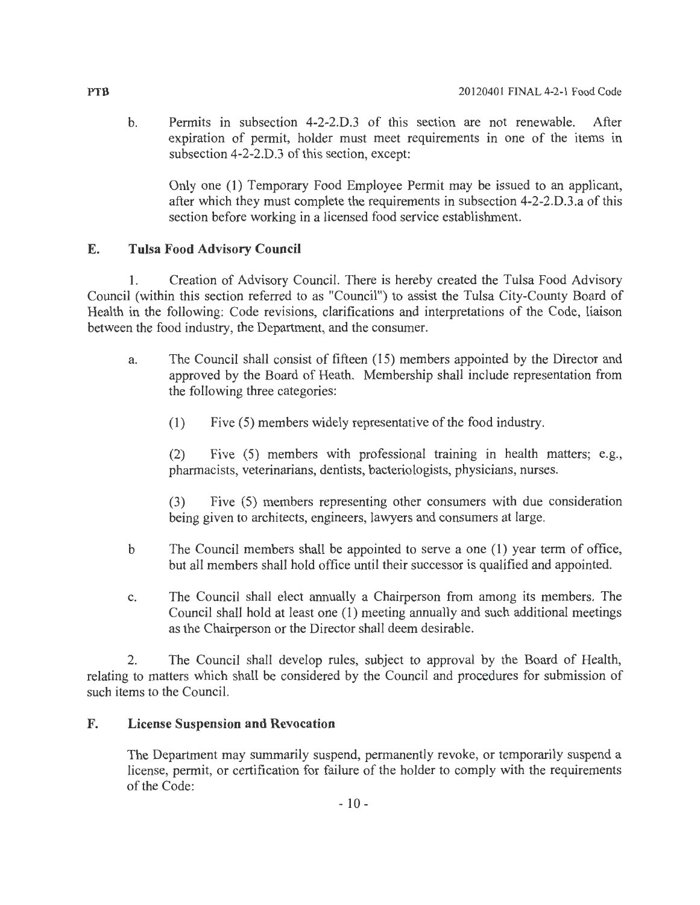b. Permits in subsection 4-2-2.0.3 of this section are not renewable. After expiration of permit, holder must meet requirements in one of the items in subsection 4-2-2.D.3 of this section, except:

Only one (1) Temporary Food Employee Permit may be issued to an applicant, after which they must complete the requirements in subsection 4-2-2.D.3.a of this section before working in a licensed food service establishment.

# **E. Tulsa Food Advisory Council**

1. Creation of Advisory Council. There is hereby created the Tulsa Food Advisory Council (within this section referred to as "Council") to assist the Tulsa City-County Board of Health in the following: Code revisions, clarifications and interpretations of the Code, liaison between the food industry, the Department, and the consumer.

- a. The Council shall consist of fifteen (15) members appointed by the Director and approved by the Board of Heath. Membership shall include representation from the following three categories:
	- $(1)$  Five (5) members widely representative of the food industry.

(2) Five (5) members with professional training in health matters; e.g., pharmacists, veterinarians, dentists, bacteriologists, physicians, nurses.

(3) Five (5) members representing other consumers with due consideration being given to architects, engineers, lawyers and consumers at large.

- b The Council members shall be appointed to serve a one (1) year term of office, but all members shall hold office until their successor is qualified and appointed.
- c. The Council shall elect annually a Chairperson from among its members. The Council shall hold at least one (1) meeting annually and such additional meetings as the Chairperson or the Director shall deem desirable.

2. The Council shall develop rules, subject to approval by the Board of Health, relating to matters which shall be considered by the Council and procedures for submission of such items to the Council.

## **F. License Suspension and Revocation**

The Department may summarily suspend, permanently revoke, or temporarily suspend a license, permit, or certification for failure of the holder to comply with the requirements of the Code: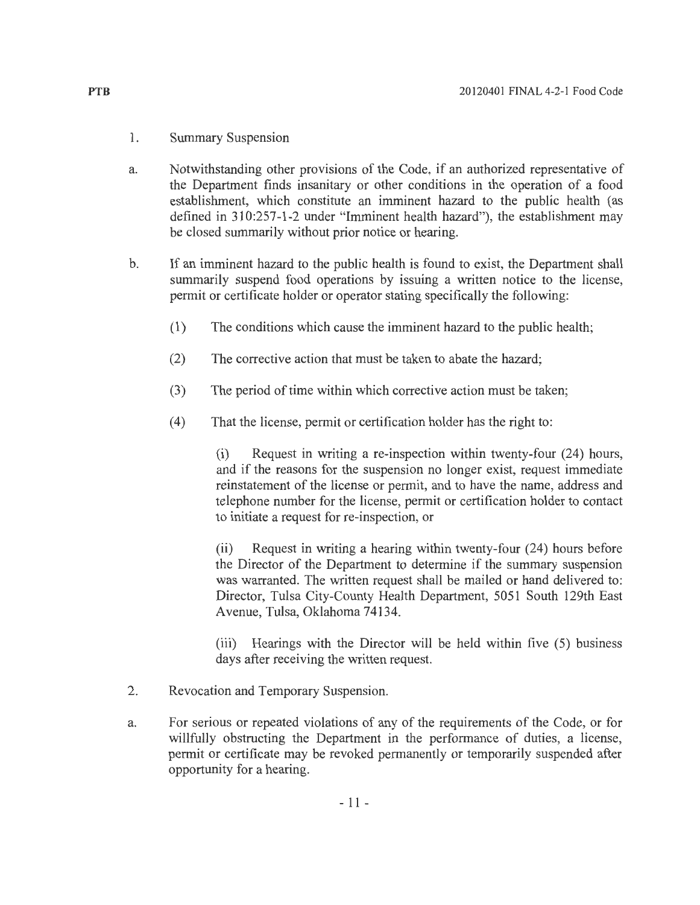- 1. Summary Suspension
- a. Notwithstanding other provisions of the Code, if an authorized representative of the Department finds insanitary or other conditions in the operation of a food establishment, which constitute an imminent hazard to the public health (as defined in 310:257-1-2 under "Imminent health hazard"), the establishment may be closed summarily without prior notice or hearing.
- b. If an imminent hazard to the public health is found to exist, the Department shall summarily suspend food operations by issuing a written notice to the license, permit or certificate holder or operator stating specifically the following:
	- (1) The conditions which cause the imminent hazard to the public health;
	- (2) The corrective action that must be taken to abate the hazard;
	- $(3)$  The period of time within which corrective action must be taken;
	- (4) That the license, permit or certification holder has the right to:

(i) Request in writing a re-inspection within twenty-four (24) hours, and if the reasons for the suspension no longer exist, request immediate reinstatement of the license or permit, and to have the name, address and telephone number for the license, permit or certification holder to contact to initiate a request for re-inspection, or

(ii) Request in writing a hearing within twenty-four (24) hours before the Director of the Department to determine if the summary suspension was warranted. The written request shall be mailed or hand delivered to: Director, Tulsa City-County Health Department, 5051 South 129th East Avenue, Tulsa, Oklahoma 74134.

(iii) Hearings with the Director will be held within five (5) business days after receiving the written request.

- 2. Revocation and Temporary Suspension.
- a. For serious or repeated violations of any of the requirements of the Code, or for willfully obstructing the Department in the performance of duties, a license, permit or certificate may be revoked permanently or temporarily suspended after opportunity for a hearing.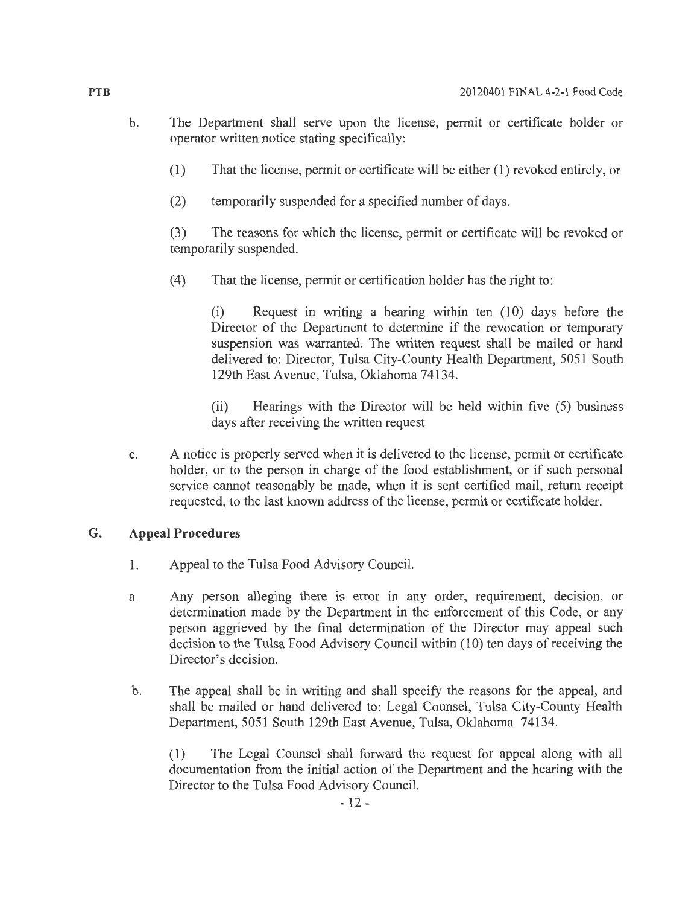- b. The Department shall serve upon the license, permit or certificate holder or operator written notice stating specifically:
	- (1) That the license, permit or certificate will be either (1) revoked entirely, or
	- (2) temporarily suspended for a specified number of days.

(3) The reasons for which the license, permit or certificate will be revoked or temporarily suspended.

(4) That the license, permit or certification holder has the right to:

 $(i)$  Request in writing a hearing within ten  $(10)$  days before the Director of the Department to determine if the revocation or temporary suspension was warranted. The written request shall be mailed or hand delivered to: Director, Tulsa City-County Health Department, 5051 South 129th East Avenue, Tulsa, Oklahoma 74134.

(ii) Hearings with the Director will be held within five (5) business days after receiving the written request

c. A notice is properly served when it is delivered to the license, permit or certificate holder, or to the person in charge of the food establishment, or if such personal service cannot reasonably be made, when it is sent certified mail, return receipt requested, to the last known address of the license, permit or certificate holder.

### **G. Appeal Procedures**

- 1. Appeal to the Tulsa Food Advisory Council.
- a. Any person alleging there is error in any order, requirement, decision, or determination made by the Department in the enforcement of this Code, or any person aggrieved by the final determination of the Director may appeal such decision to the Tulsa Food Advisory Council within (10) ten days of receiving the Director's decision.
- b. The appeal shall be in writing and shall specify the reasons for the appeal, and shall be mailed or hand delivered to: Legal Counsel, Tulsa City-County Health Department, 5051 South 129th East Avenue, Tulsa, Oklahoma 74134.

(1) The Legal Counsel shall forward the request for appeal along with all documentation from the initial action of the Department and the hearing with the Director to the Tulsa Food Advisory Council.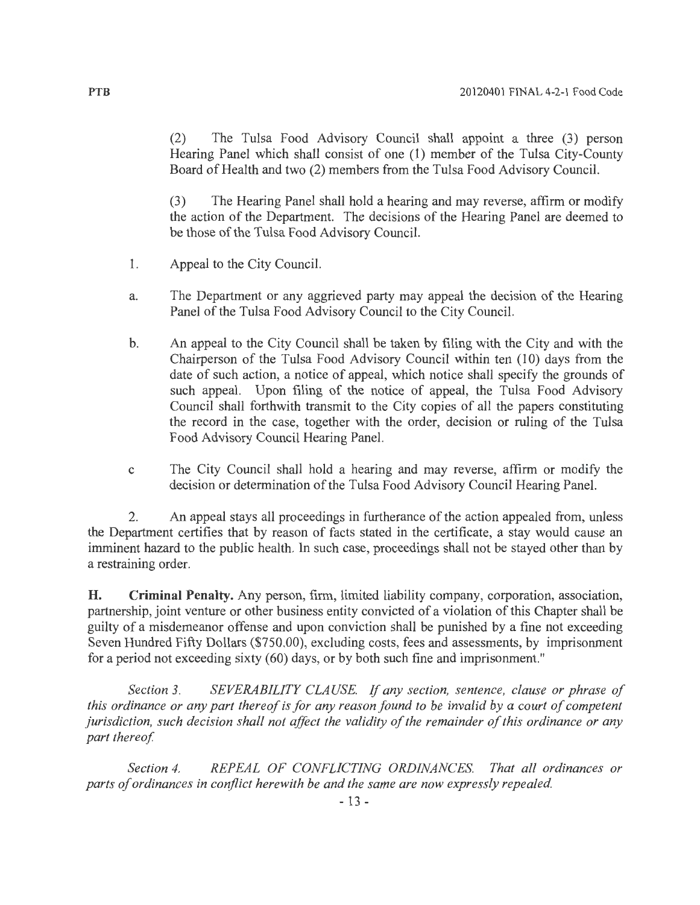(2) The Tulsa Food Advisory Council shall appoint a three (3) person Hearing Panel which shall consist of one (1) member of the Tulsa City-County Board of Health and two (2) members from the Tulsa Food Advisory Council.

(3) The Hearing Panel shall hold a hearing and may reverse, affirm or modify the action of the Department. The decisions of the Hearing Panel are deemed to be those of the Tulsa Food Advisory Council.

- 1. Appeal to the City Council.
- a. The Department or any aggrieved party may appeal the decision of the Hearing Panel of the Tulsa Food Advisory Council to the City Council.
- b. An appeal to the City Council shall be taken by filing with the City and with the Chairperson of the Tulsa Food Advisory Council within ten (10) days from the date of such action, a notice of appeal, which notice shall specify the grounds of such appeal. Upon filing of the notice of appeal, the Tulsa Food Advisory Council shall forthwith transmit to the City copies of all the papers constituting the record in the case, together with the order, decision or ruling of the Tulsa Food Advisory Council Hearing Panel.
- c The City Council shall hold a hearing and may reverse, affirm or modify the decision or determination of the Tulsa Food Advisory Council Hearing Panel.

2. An appeal stays all proceedings in furtherance of the action appealed from, unless the Department certifies that by reason of facts stated in the certificate, a stay would cause an imminent hazard to the public health. In such case, proceedings shall not be stayed other than by a restraining order.

**H. Criminal Penalty.** Any person, firm, limited liability company, corporation, association, partnership, joint venture or other business entity convicted of a violation of this Chapter shall be guilty of a misdemeanor offense and upon conviction shall be punished by a fine not exceeding Seven Hundred Fifty Dollars (\$750.00), excluding costs, fees and assessments, by imprisonment for a period not exceeding sixty (60) days, or by both such fine and imprisonment."

*Section 3. SEVERABILITY CLAUSE.* If *any section, sentence, clause or phrase of this ordinance or any part thereof is for any reason found to be invalid by a court of competent jurisdiction, such decision shall not affect the validity of the remainder of this ordinance or any part thereof.* 

*Section 4. REPEAL OF CONFLICTING ORDINANCES. That all ordinances or parts of ordinances in conflict herewith be and the same are now expressly repealed.*